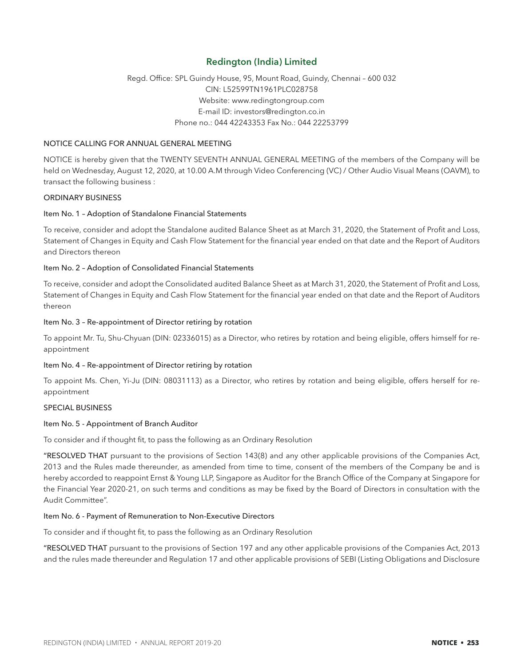## Redington (India) Limited

## Regd. Office: SPL Guindy House, 95, Mount Road, Guindy, Chennai – 600 032 CIN: L52599TN1961PLC028758 Website: www.redingtongroup.com E-mail ID: investors@redington.co.in Phone no.: 044 42243353 Fax No.: 044 22253799

## NOTICE CALLING FOR ANNUAL GENERAL MEETING

NOTICE is hereby given that the TWENTY SEVENTH ANNUAL GENERAL MEETING of the members of the Company will be held on Wednesday, August 12, 2020, at 10.00 A.M through Video Conferencing (VC) / Other Audio Visual Means (OAVM), to transact the following business :

### ORDINARY BUSINESS

### Item No. 1 – Adoption of Standalone Financial Statements

To receive, consider and adopt the Standalone audited Balance Sheet as at March 31, 2020, the Statement of Profit and Loss, Statement of Changes in Equity and Cash Flow Statement for the financial year ended on that date and the Report of Auditors and Directors thereon

### Item No. 2 – Adoption of Consolidated Financial Statements

To receive, consider and adopt the Consolidated audited Balance Sheet as at March 31, 2020, the Statement of Profit and Loss, Statement of Changes in Equity and Cash Flow Statement for the financial year ended on that date and the Report of Auditors thereon

### Item No. 3 – Re-appointment of Director retiring by rotation

To appoint Mr. Tu, Shu-Chyuan (DIN: 02336015) as a Director, who retires by rotation and being eligible, offers himself for reappointment

## Item No. 4 – Re-appointment of Director retiring by rotation

To appoint Ms. Chen, Yi-Ju (DIN: 08031113) as a Director, who retires by rotation and being eligible, offers herself for reappointment

## SPECIAL BUSINESS

### Item No. 5 - Appointment of Branch Auditor

To consider and if thought fit, to pass the following as an Ordinary Resolution

"RESOLVED THAT pursuant to the provisions of Section 143(8) and any other applicable provisions of the Companies Act, 2013 and the Rules made thereunder, as amended from time to time, consent of the members of the Company be and is hereby accorded to reappoint Ernst & Young LLP, Singapore as Auditor for the Branch Office of the Company at Singapore for the Financial Year 2020-21, on such terms and conditions as may be fixed by the Board of Directors in consultation with the Audit Committee".

### Item No. 6 - Payment of Remuneration to Non-Executive Directors

To consider and if thought fit, to pass the following as an Ordinary Resolution

"RESOLVED THAT pursuant to the provisions of Section 197 and any other applicable provisions of the Companies Act, 2013 and the rules made thereunder and Regulation 17 and other applicable provisions of SEBI (Listing Obligations and Disclosure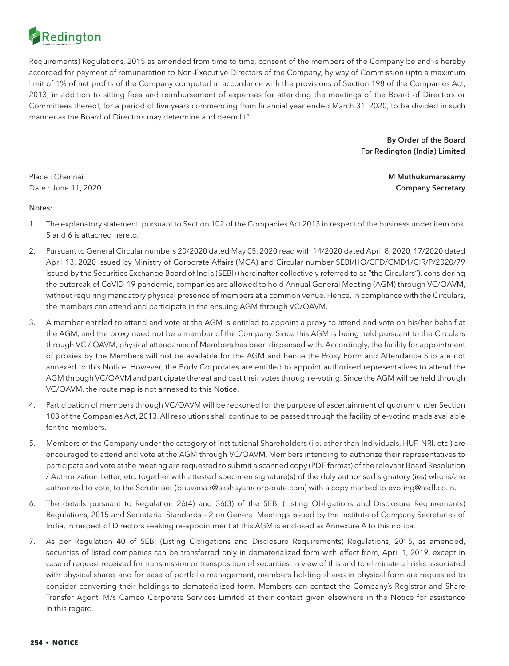

Requirements) Regulations, 2015 as amended from time to time, consent of the members of the Company be and is hereby accorded for payment of remuneration to Non-Executive Directors of the Company, by way of Commission upto a maximum limit of 1% of net profits of the Company computed in accordance with the provisions of Section 198 of the Companies Act, 2013, in addition to sitting fees and reimbursement of expenses for attending the meetings of the Board of Directors or Committees thereof, for a period of five years commencing from financial year ended March 31, 2020, to be divided in such manner as the Board of Directors may determine and deem fit".

> By Order of the Board For Redington (India) Limited

Place : Chennai **M Muthukumarasamy M Muthukumarasamy M Muthukumarasamy M Muthukumarasamy** Date : June 11, 2020 **Company Secretary** 

## Notes:

- 1. The explanatory statement, pursuant to Section 102 of the Companies Act 2013 in respect of the business under item nos. 5 and 6 is attached hereto.
- 2. Pursuant to General Circular numbers 20/2020 dated May 05, 2020 read with 14/2020 dated April 8, 2020, 17/2020 dated April 13, 2020 issued by Ministry of Corporate Affairs (MCA) and Circular number SEBI/HO/CFD/CMD1/CIR/P/2020/79 issued by the Securities Exchange Board of India (SEBI) (hereinafter collectively referred to as "the Circulars"), considering the outbreak of CoVID-19 pandemic, companies are allowed to hold Annual General Meeting (AGM) through VC/OAVM, without requiring mandatory physical presence of members at a common venue. Hence, in compliance with the Circulars, the members can attend and participate in the ensuing AGM through VC/OAVM.
- 3. A member entitled to attend and vote at the AGM is entitled to appoint a proxy to attend and vote on his/her behalf at the AGM, and the proxy need not be a member of the Company. Since this AGM is being held pursuant to the Circulars through VC / OAVM, physical attendance of Members has been dispensed with. Accordingly, the facility for appointment of proxies by the Members will not be available for the AGM and hence the Proxy Form and Attendance Slip are not annexed to this Notice. However, the Body Corporates are entitled to appoint authorised representatives to attend the AGM through VC/OAVM and participate thereat and cast their votes through e-voting. Since the AGM will be held through VC/OAVM, the route map is not annexed to this Notice.
- 4. Participation of members through VC/OAVM will be reckoned for the purpose of ascertainment of quorum under Section 103 of the Companies Act, 2013. All resolutions shall continue to be passed through the facility of e-voting made available for the members.
- 5. Members of the Company under the category of Institutional Shareholders (i.e. other than Individuals, HUF, NRI, etc.) are encouraged to attend and vote at the AGM through VC/OAVM. Members intending to authorize their representatives to participate and vote at the meeting are requested to submit a scanned copy (PDF format) of the relevant Board Resolution / Authorization Letter, etc. together with attested specimen signature(s) of the duly authorised signatory (ies) who is/are authorized to vote, to the Scrutiniser (bhuvana.r@akshayamcorporate.com) with a copy marked to evoting@nsdl.co.in.
- 6. The details pursuant to Regulation 26(4) and 36(3) of the SEBI (Listing Obligations and Disclosure Requirements) Regulations, 2015 and Secretarial Standards – 2 on General Meetings issued by the Institute of Company Secretaries of India, in respect of Directors seeking re-appointment at this AGM is enclosed as Annexure A to this notice.
- 7. As per Regulation 40 of SEBI (Listing Obligations and Disclosure Requirements) Regulations, 2015, as amended, securities of listed companies can be transferred only in dematerialized form with effect from, April 1, 2019, except in case of request received for transmission or transposition of securities. In view of this and to eliminate all risks associated with physical shares and for ease of portfolio management, members holding shares in physical form are requested to consider converting their holdings to dematerialized form. Members can contact the Company's Registrar and Share Transfer Agent, M/s Cameo Corporate Services Limited at their contact given elsewhere in the Notice for assistance in this regard.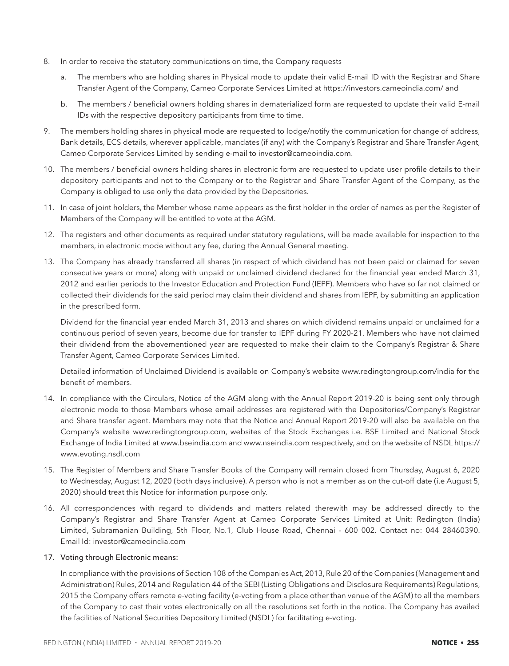- 8. In order to receive the statutory communications on time, the Company requests
	- a. The members who are holding shares in Physical mode to update their valid E-mail ID with the Registrar and Share Transfer Agent of the Company, Cameo Corporate Services Limited at https://investors.cameoindia.com/ and
	- b. The members / beneficial owners holding shares in dematerialized form are requested to update their valid E-mail IDs with the respective depository participants from time to time.
- 9. The members holding shares in physical mode are requested to lodge/notify the communication for change of address, Bank details, ECS details, wherever applicable, mandates (if any) with the Company's Registrar and Share Transfer Agent, Cameo Corporate Services Limited by sending e-mail to investor@cameoindia.com.
- 10. The members / beneficial owners holding shares in electronic form are requested to update user profile details to their depository participants and not to the Company or to the Registrar and Share Transfer Agent of the Company, as the Company is obliged to use only the data provided by the Depositories.
- 11. In case of joint holders, the Member whose name appears as the first holder in the order of names as per the Register of Members of the Company will be entitled to vote at the AGM.
- 12. The registers and other documents as required under statutory regulations, will be made available for inspection to the members, in electronic mode without any fee, during the Annual General meeting.
- 13. The Company has already transferred all shares (in respect of which dividend has not been paid or claimed for seven consecutive years or more) along with unpaid or unclaimed dividend declared for the financial year ended March 31, 2012 and earlier periods to the Investor Education and Protection Fund (IEPF). Members who have so far not claimed or collected their dividends for the said period may claim their dividend and shares from IEPF, by submitting an application in the prescribed form.

 Dividend for the financial year ended March 31, 2013 and shares on which dividend remains unpaid or unclaimed for a continuous period of seven years, become due for transfer to IEPF during FY 2020-21. Members who have not claimed their dividend from the abovementioned year are requested to make their claim to the Company's Registrar & Share Transfer Agent, Cameo Corporate Services Limited.

 Detailed information of Unclaimed Dividend is available on Company's website www.redingtongroup.com/india for the benefit of members.

- 14. In compliance with the Circulars, Notice of the AGM along with the Annual Report 2019-20 is being sent only through electronic mode to those Members whose email addresses are registered with the Depositories/Company's Registrar and Share transfer agent. Members may note that the Notice and Annual Report 2019-20 will also be available on the Company's website www.redingtongroup.com, websites of the Stock Exchanges i.e. BSE Limited and National Stock Exchange of India Limited at www.bseindia.com and www.nseindia.com respectively, and on the website of NSDL https:// www.evoting.nsdl.com
- 15. The Register of Members and Share Transfer Books of the Company will remain closed from Thursday, August 6, 2020 to Wednesday, August 12, 2020 (both days inclusive). A person who is not a member as on the cut-off date (i.e August 5, 2020) should treat this Notice for information purpose only.
- 16. All correspondences with regard to dividends and matters related therewith may be addressed directly to the Company's Registrar and Share Transfer Agent at Cameo Corporate Services Limited at Unit: Redington (India) Limited, Subramanian Building, 5th Floor, No.1, Club House Road, Chennai - 600 002. Contact no: 044 28460390. Email Id: investor@cameoindia.com

## 17. Voting through Electronic means:

 In compliance with the provisions of Section 108 of the Companies Act, 2013, Rule 20 of the Companies (Management and Administration) Rules, 2014 and Regulation 44 of the SEBI (Listing Obligations and Disclosure Requirements) Regulations, 2015 the Company offers remote e-voting facility (e-voting from a place other than venue of the AGM) to all the members of the Company to cast their votes electronically on all the resolutions set forth in the notice. The Company has availed the facilities of National Securities Depository Limited (NSDL) for facilitating e-voting.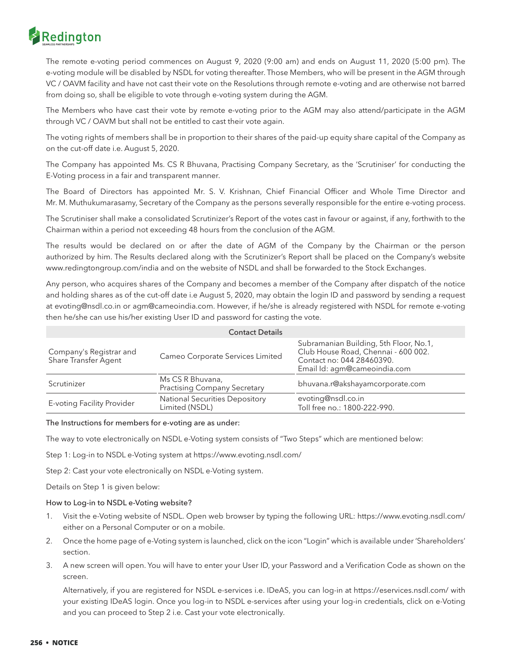# Redington

 The remote e-voting period commences on August 9, 2020 (9:00 am) and ends on August 11, 2020 (5:00 pm). The e-voting module will be disabled by NSDL for voting thereafter. Those Members, who will be present in the AGM through VC / OAVM facility and have not cast their vote on the Resolutions through remote e-voting and are otherwise not barred from doing so, shall be eligible to vote through e-voting system during the AGM.

 The Members who have cast their vote by remote e-voting prior to the AGM may also attend/participate in the AGM through VC / OAVM but shall not be entitled to cast their vote again.

 The voting rights of members shall be in proportion to their shares of the paid-up equity share capital of the Company as on the cut-off date i.e. August 5, 2020.

 The Company has appointed Ms. CS R Bhuvana, Practising Company Secretary, as the 'Scrutiniser' for conducting the E-Voting process in a fair and transparent manner.

 The Board of Directors has appointed Mr. S. V. Krishnan, Chief Financial Officer and Whole Time Director and Mr. M. Muthukumarasamy, Secretary of the Company as the persons severally responsible for the entire e-voting process.

 The Scrutiniser shall make a consolidated Scrutinizer's Report of the votes cast in favour or against, if any, forthwith to the Chairman within a period not exceeding 48 hours from the conclusion of the AGM.

 The results would be declared on or after the date of AGM of the Company by the Chairman or the person authorized by him. The Results declared along with the Scrutinizer's Report shall be placed on the Company's website www.redingtongroup.com/india and on the website of NSDL and shall be forwarded to the Stock Exchanges.

 Any person, who acquires shares of the Company and becomes a member of the Company after dispatch of the notice and holding shares as of the cut-off date i.e August 5, 2020, may obtain the login ID and password by sending a request at evoting@nsdl.co.in or agm@cameoindia.com. However, if he/she is already registered with NSDL for remote e-voting then he/she can use his/her existing User ID and password for casting the vote.

|                                                 | <b>Contact Details</b>                                  |                                                                                                                                            |
|-------------------------------------------------|---------------------------------------------------------|--------------------------------------------------------------------------------------------------------------------------------------------|
| Company's Registrar and<br>Share Transfer Agent | Cameo Corporate Services Limited                        | Subramanian Building, 5th Floor, No.1,<br>Club House Road, Chennai - 600 002.<br>Contact no: 044 28460390.<br>Email Id: agm@cameoindia.com |
| Scrutinizer                                     | Ms CS R Bhuvana,<br><b>Practising Company Secretary</b> | bhuvana.r@akshayamcorporate.com                                                                                                            |
| E-voting Facility Provider                      | <b>National Securities Depository</b><br>Limited (NSDL) | evoting@nsdl.co.in<br>Toll free no.: 1800-222-990.                                                                                         |

The Instructions for members for e-voting are as under:

The way to vote electronically on NSDL e-Voting system consists of "Two Steps" which are mentioned below:

Step 1: Log-in to NSDL e-Voting system at https://www.evoting.nsdl.com/

Step 2: Cast your vote electronically on NSDL e-Voting system.

Details on Step 1 is given below:

## How to Log-in to NSDL e-Voting website?

- 1. Visit the e-Voting website of NSDL. Open web browser by typing the following URL: https://www.evoting.nsdl.com/ either on a Personal Computer or on a mobile.
- 2. Once the home page of e-Voting system is launched, click on the icon "Login" which is available under 'Shareholders' section.
- 3. A new screen will open. You will have to enter your User ID, your Password and a Verification Code as shown on the screen.

 Alternatively, if you are registered for NSDL e-services i.e. IDeAS, you can log-in at https://eservices.nsdl.com/ with your existing IDeAS login. Once you log-in to NSDL e-services after using your log-in credentials, click on e-Voting and you can proceed to Step 2 i.e. Cast your vote electronically.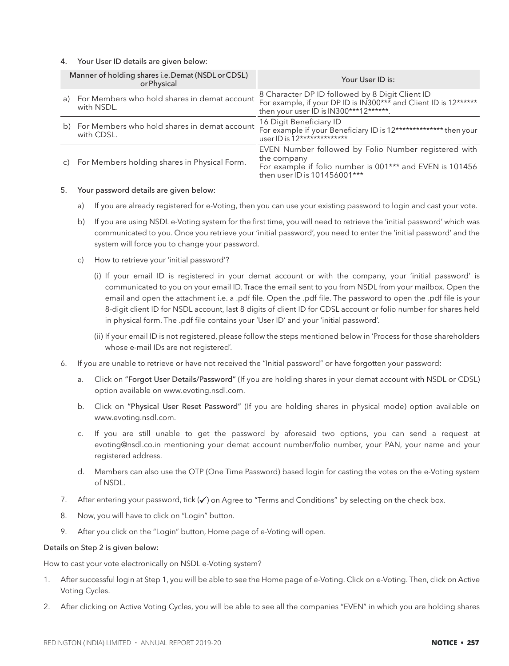## 4. Your User ID details are given below:

|              | Manner of holding shares i.e. Demat (NSDL or CDSL)<br>or Physical | Your User ID is:                                                                                                                                                |
|--------------|-------------------------------------------------------------------|-----------------------------------------------------------------------------------------------------------------------------------------------------------------|
|              | a) For Members who hold shares in demat account<br>with NSDL.     | 8 Character DP ID followed by 8 Digit Client ID<br>For example, if your DP ID is IN300*** and Client ID is 12******<br>then your user ID is IN300***12******.   |
|              | b) For Members who hold shares in demat account<br>with CDSL.     | 16 Digit Beneficiary ID<br>For example if your Beneficiary ID is 12************** then your<br>user ID is 12**************                                      |
| $\mathsf{C}$ | For Members holding shares in Physical Form.                      | EVEN Number followed by Folio Number registered with<br>the company<br>For example if folio number is 001*** and EVEN is 101456<br>then user ID is 101456001*** |

#### 5. Your password details are given below:

- a) If you are already registered for e-Voting, then you can use your existing password to login and cast your vote.
- b) If you are using NSDL e-Voting system for the first time, you will need to retrieve the 'initial password' which was communicated to you. Once you retrieve your 'initial password', you need to enter the 'initial password' and the system will force you to change your password.
- c) How to retrieve your 'initial password'?
	- (i) If your email ID is registered in your demat account or with the company, your 'initial password' is communicated to you on your email ID. Trace the email sent to you from NSDL from your mailbox. Open the email and open the attachment i.e. a .pdf file. Open the .pdf file. The password to open the .pdf file is your 8-digit client ID for NSDL account, last 8 digits of client ID for CDSL account or folio number for shares held in physical form. The .pdf file contains your 'User ID' and your 'initial password'.
	- (ii) If your email ID is not registered, please follow the steps mentioned below in 'Process for those shareholders whose e-mail IDs are not registered'.
- 6. If you are unable to retrieve or have not received the "Initial password" or have forgotten your password:
	- a. Click on "Forgot User Details/Password" (If you are holding shares in your demat account with NSDL or CDSL) option available on www.evoting.nsdl.com.
	- b. Click on "Physical User Reset Password" (If you are holding shares in physical mode) option available on www.evoting.nsdl.com.
	- c. If you are still unable to get the password by aforesaid two options, you can send a request at evoting@nsdl.co.in mentioning your demat account number/folio number, your PAN, your name and your registered address.
	- d. Members can also use the OTP (One Time Password) based login for casting the votes on the e-Voting system of NSDL.
- 7. After entering your password, tick  $(\checkmark)$  on Agree to "Terms and Conditions" by selecting on the check box.
- 8. Now, you will have to click on "Login" button.
- 9. After you click on the "Login" button, Home page of e-Voting will open.

### Details on Step 2 is given below:

How to cast your vote electronically on NSDL e-Voting system?

- 1. After successful login at Step 1, you will be able to see the Home page of e-Voting. Click on e-Voting. Then, click on Active Voting Cycles.
- 2. After clicking on Active Voting Cycles, you will be able to see all the companies "EVEN" in which you are holding shares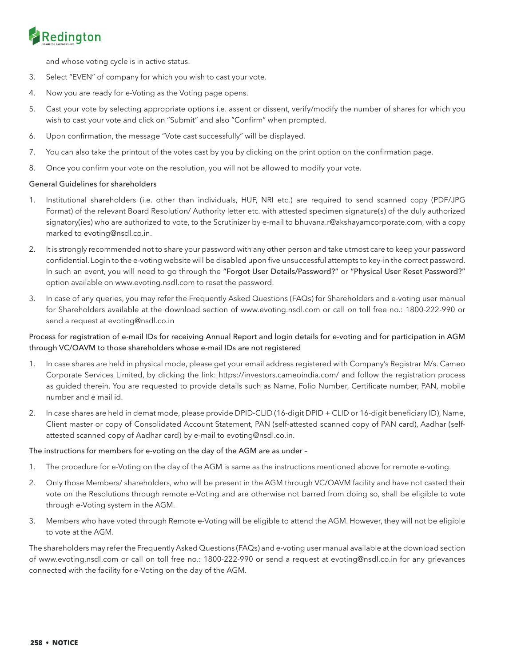# Redington

and whose voting cycle is in active status.

- 3. Select "EVEN" of company for which you wish to cast your vote.
- 4. Now you are ready for e-Voting as the Voting page opens.
- 5. Cast your vote by selecting appropriate options i.e. assent or dissent, verify/modify the number of shares for which you wish to cast your vote and click on "Submit" and also "Confirm" when prompted.
- 6. Upon confirmation, the message "Vote cast successfully" will be displayed.
- 7. You can also take the printout of the votes cast by you by clicking on the print option on the confirmation page.
- 8. Once you confirm your vote on the resolution, you will not be allowed to modify your vote.

## General Guidelines for shareholders

- 1. Institutional shareholders (i.e. other than individuals, HUF, NRI etc.) are required to send scanned copy (PDF/JPG Format) of the relevant Board Resolution/ Authority letter etc. with attested specimen signature(s) of the duly authorized signatory(ies) who are authorized to vote, to the Scrutinizer by e-mail to bhuvana.r@akshayamcorporate.com, with a copy marked to evoting@nsdl.co.in.
- 2. It is strongly recommended not to share your password with any other person and take utmost care to keep your password confidential. Login to the e-voting website will be disabled upon five unsuccessful attempts to key-in the correct password. In such an event, you will need to go through the "Forgot User Details/Password?" or "Physical User Reset Password?" option available on www.evoting.nsdl.com to reset the password.
- 3. In case of any queries, you may refer the Frequently Asked Questions (FAQs) for Shareholders and e-voting user manual for Shareholders available at the download section of www.evoting.nsdl.com or call on toll free no.: 1800-222-990 or send a request at evoting@nsdl.co.in

## Process for registration of e-mail IDs for receiving Annual Report and login details for e-voting and for participation in AGM through VC/OAVM to those shareholders whose e-mail IDs are not registered

- 1. In case shares are held in physical mode, please get your email address registered with Company's Registrar M/s. Cameo Corporate Services Limited, by clicking the link: https://investors.cameoindia.com/ and follow the registration process as guided therein. You are requested to provide details such as Name, Folio Number, Certificate number, PAN, mobile number and e mail id.
- 2. In case shares are held in demat mode, please provide DPID-CLID (16-digit DPID + CLID or 16-digit beneficiary ID), Name, Client master or copy of Consolidated Account Statement, PAN (self-attested scanned copy of PAN card), Aadhar (selfattested scanned copy of Aadhar card) by e-mail to evoting@nsdl.co.in.

### The instructions for members for e-voting on the day of the AGM are as under –

- 1. The procedure for e-Voting on the day of the AGM is same as the instructions mentioned above for remote e-voting.
- 2. Only those Members/ shareholders, who will be present in the AGM through VC/OAVM facility and have not casted their vote on the Resolutions through remote e-Voting and are otherwise not barred from doing so, shall be eligible to vote through e-Voting system in the AGM.
- 3. Members who have voted through Remote e-Voting will be eligible to attend the AGM. However, they will not be eligible to vote at the AGM.

The shareholders may refer the Frequently Asked Questions (FAQs) and e-voting user manual available at the download section of www.evoting.nsdl.com or call on toll free no.: 1800-222-990 or send a request at evoting@nsdl.co.in for any grievances connected with the facility for e-Voting on the day of the AGM.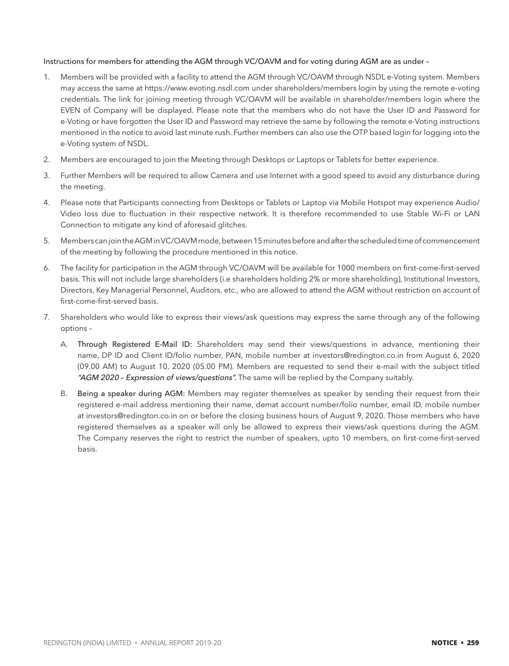## Instructions for members for attending the AGM through VC/OAVM and for voting during AGM are as under –

- 1. Members will be provided with a facility to attend the AGM through VC/OAVM through NSDL e-Voting system. Members may access the same at https://www.evoting.nsdl.com under shareholders/members login by using the remote e-voting credentials. The link for joining meeting through VC/OAVM will be available in shareholder/members login where the EVEN of Company will be displayed. Please note that the members who do not have the User ID and Password for e-Voting or have forgotten the User ID and Password may retrieve the same by following the remote e-Voting instructions mentioned in the notice to avoid last minute rush. Further members can also use the OTP based login for logging into the e-Voting system of NSDL.
- 2. Members are encouraged to join the Meeting through Desktops or Laptops or Tablets for better experience.
- 3. Further Members will be required to allow Camera and use Internet with a good speed to avoid any disturbance during the meeting.
- 4. Please note that Participants connecting from Desktops or Tablets or Laptop via Mobile Hotspot may experience Audio/ Video loss due to fluctuation in their respective network. It is therefore recommended to use Stable Wi-Fi or LAN Connection to mitigate any kind of aforesaid glitches.
- 5. Members can join the AGM in VC/OAVM mode, between 15 minutes before and after the scheduled time of commencement of the meeting by following the procedure mentioned in this notice.
- 6. The facility for participation in the AGM through VC/OAVM will be available for 1000 members on first-come-first-served basis. This will not include large shareholders (i.e shareholders holding 2% or more shareholding), Institutional Investors, Directors, Key Managerial Personnel, Auditors, etc., who are allowed to attend the AGM without restriction on account of first-come-first-served basis.
- 7. Shareholders who would like to express their views/ask questions may express the same through any of the following options –
	- A. Through Registered E-Mail ID: Shareholders may send their views/questions in advance, mentioning their name, DP ID and Client ID/folio number, PAN, mobile number at investors@redington.co.in from August 6, 2020 (09.00 AM) to August 10, 2020 (05.00 PM). Members are requested to send their e-mail with the subject titled "AGM 2020 - Expression of views/questions". The same will be replied by the Company suitably.
	- B. Being a speaker during AGM: Members may register themselves as speaker by sending their request from their registered e-mail address mentioning their name, demat account number/folio number, email ID, mobile number at investors@redington.co.in on or before the closing business hours of August 9, 2020. Those members who have registered themselves as a speaker will only be allowed to express their views/ask questions during the AGM. The Company reserves the right to restrict the number of speakers, upto 10 members, on first-come-first-served basis.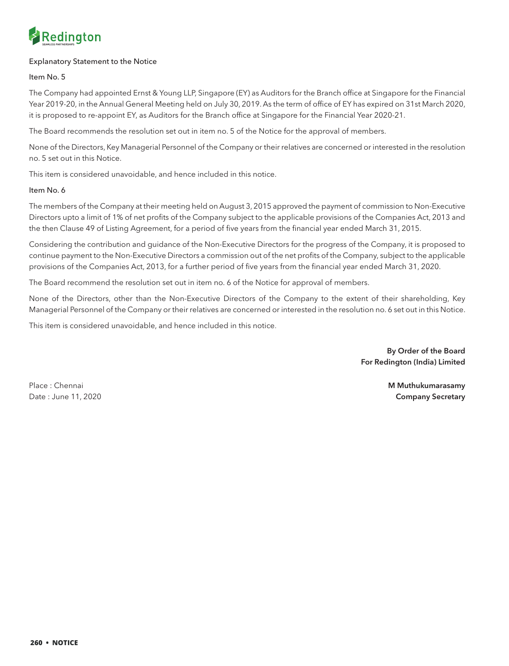

## Explanatory Statement to the Notice

Item No. 5

The Company had appointed Ernst & Young LLP, Singapore (EY) as Auditors for the Branch office at Singapore for the Financial Year 2019-20, in the Annual General Meeting held on July 30, 2019. As the term of office of EY has expired on 31st March 2020, it is proposed to re-appoint EY, as Auditors for the Branch office at Singapore for the Financial Year 2020-21.

The Board recommends the resolution set out in item no. 5 of the Notice for the approval of members.

None of the Directors, Key Managerial Personnel of the Company or their relatives are concerned or interested in the resolution no. 5 set out in this Notice.

This item is considered unavoidable, and hence included in this notice.

## Item No. 6

The members of the Company at their meeting held on August 3, 2015 approved the payment of commission to Non-Executive Directors upto a limit of 1% of net profits of the Company subject to the applicable provisions of the Companies Act, 2013 and the then Clause 49 of Listing Agreement, for a period of five years from the financial year ended March 31, 2015.

Considering the contribution and guidance of the Non-Executive Directors for the progress of the Company, it is proposed to continue payment to the Non-Executive Directors a commission out of the net profits of the Company, subject to the applicable provisions of the Companies Act, 2013, for a further period of five years from the financial year ended March 31, 2020.

The Board recommend the resolution set out in item no. 6 of the Notice for approval of members.

None of the Directors, other than the Non-Executive Directors of the Company to the extent of their shareholding, Key Managerial Personnel of the Company or their relatives are concerned or interested in the resolution no. 6 set out in this Notice.

This item is considered unavoidable, and hence included in this notice.

By Order of the Board For Redington (India) Limited

Place : Chennai **M Muthukumarasamy M Muthukumarasamy M Muthukumarasamy M Muthukumarasamy** Date : June 11, 2020 **Company Secretary**